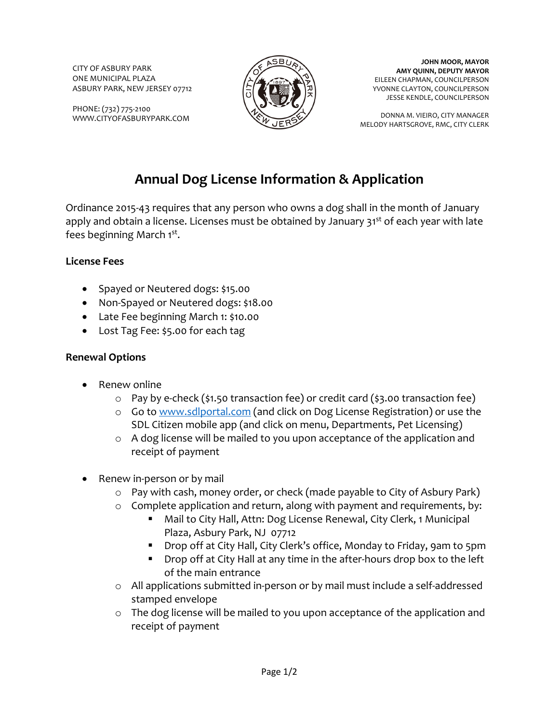CITY OF ASBURY PARK ONE MUNICIPAL PLAZA ASBURY PARK, NEW JERSEY 07712

PHONE: (732) 775-2100 WWW.CITYOFASBURYPARK.COM



**JOHN MOOR, MAYOR AMY QUINN, DEPUTY MAYOR** EILEEN CHAPMAN, COUNCILPERSON YVONNE CLAYTON, COUNCILPERSON JESSE KENDLE, COUNCILPERSON

DONNA M. VIEIRO, CITY MANAGER MELODY HARTSGROVE, RMC, CITY CLERK

# **Annual Dog License Information & Application**

Ordinance 2015-43 requires that any person who owns a dog shall in the month of January apply and obtain a license. Licenses must be obtained by January  $31<sup>st</sup>$  of each year with late fees beginning March 1<sup>st</sup>.

### **License Fees**

- Spayed or Neutered dogs: \$15.00
- Non-Spayed or Neutered dogs: \$18.00
- Late Fee beginning March 1: \$10.00
- Lost Tag Fee: \$5.00 for each tag

#### **Renewal Options**

- Renew online
	- $\circ$  Pay by e-check (\$1.50 transaction fee) or credit card (\$3.00 transaction fee)
	- o Go to [www.sdlportal.com](http://www.sdlportal.com/) (and click on Dog License Registration) or use the SDL Citizen mobile app (and click on menu, Departments, Pet Licensing)
	- o A dog license will be mailed to you upon acceptance of the application and receipt of payment
- Renew in-person or by mail
	- o Pay with cash, money order, or check (made payable to City of Asbury Park)
	- o Complete application and return, along with payment and requirements, by:
		- Mail to City Hall, Attn: Dog License Renewal, City Clerk, 1 Municipal Plaza, Asbury Park, NJ 07712
		- Drop off at City Hall, City Clerk's office, Monday to Friday, 9am to 5pm
		- **Drop off at City Hall at any time in the after-hours drop box to the left** of the main entrance
	- o All applications submitted in-person or by mail must include a self-addressed stamped envelope
	- o The dog license will be mailed to you upon acceptance of the application and receipt of payment